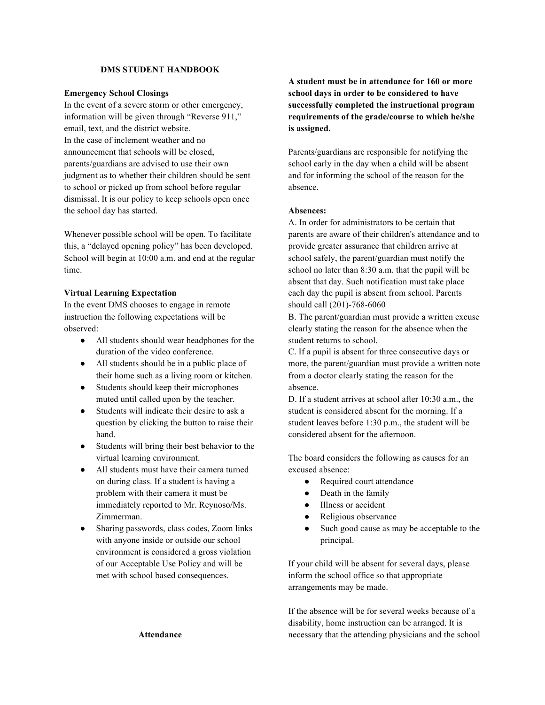# **DMS STUDENT HANDBOOK**

#### **Emergency School Closings**

In the event of a severe storm or other emergency, information will be given through "Reverse 911," email, text, and the district website. In the case of inclement weather and no announcement that schools will be closed, parents/guardians are advised to use their own judgment as to whether their children should be sent to school or picked up from school before regular dismissal. It is our policy to keep schools open once the school day has started.

Whenever possible school will be open. To facilitate this, a "delayed opening policy" has been developed. School will begin at 10:00 a.m. and end at the regular time.

#### **Virtual Learning Expectation**

In the event DMS chooses to engage in remote instruction the following expectations will be observed:

- All students should wear headphones for the duration of the video conference.
- All students should be in a public place of their home such as a living room or kitchen.
- Students should keep their microphones muted until called upon by the teacher.
- Students will indicate their desire to ask a question by clicking the button to raise their hand.
- Students will bring their best behavior to the virtual learning environment.
- All students must have their camera turned on during class. If a student is having a problem with their camera it must be immediately reported to Mr. Reynoso/Ms. Zimmerman.
- Sharing passwords, class codes, Zoom links with anyone inside or outside our school environment is considered a gross violation of our Acceptable Use Policy and will be met with school based consequences.

**A student must be in attendance for 160 or more school days in order to be considered to have successfully completed the instructional program requirements of the grade/course to which he/she is assigned.**

Parents/guardians are responsible for notifying the school early in the day when a child will be absent and for informing the school of the reason for the absence.

#### **Absences:**

A. In order for administrators to be certain that parents are aware of their children's attendance and to provide greater assurance that children arrive at school safely, the parent/guardian must notify the school no later than 8:30 a.m. that the pupil will be absent that day. Such notification must take place each day the pupil is absent from school. Parents should call (201)-768-6060

B. The parent/guardian must provide a written excuse clearly stating the reason for the absence when the student returns to school.

C. If a pupil is absent for three consecutive days or more, the parent/guardian must provide a written note from a doctor clearly stating the reason for the absence.

D. If a student arrives at school after 10:30 a.m., the student is considered absent for the morning. If a student leaves before 1:30 p.m., the student will be considered absent for the afternoon.

The board considers the following as causes for an excused absence:

- Required court attendance
- Death in the family
- Illness or accident
- Religious observance
- Such good cause as may be acceptable to the principal.

If your child will be absent for several days, please inform the school office so that appropriate arrangements may be made.

If the absence will be for several weeks because of a disability, home instruction can be arranged. It is necessary that the attending physicians and the school

### **Attendance**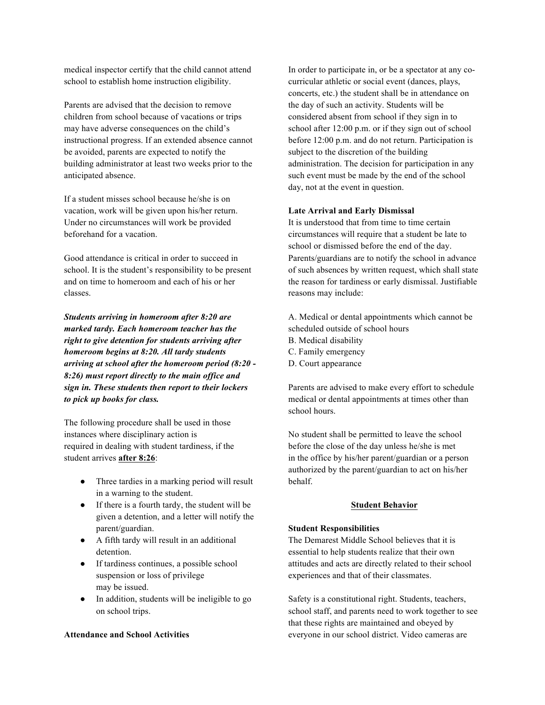medical inspector certify that the child cannot attend school to establish home instruction eligibility.

Parents are advised that the decision to remove children from school because of vacations or trips may have adverse consequences on the child's instructional progress. If an extended absence cannot be avoided, parents are expected to notify the building administrator at least two weeks prior to the anticipated absence.

If a student misses school because he/she is on vacation, work will be given upon his/her return. Under no circumstances will work be provided beforehand for a vacation.

Good attendance is critical in order to succeed in school. It is the student's responsibility to be present and on time to homeroom and each of his or her classes.

*Students arriving in homeroom after 8:20 are marked tardy. Each homeroom teacher has the right to give detention for students arriving after homeroom begins at 8:20. All tardy students arriving at school after the homeroom period (8:20 - 8:26) must report directly to the main office and sign in. These students then report to their lockers to pick up books for class.*

The following procedure shall be used in those instances where disciplinary action is required in dealing with student tardiness, if the student arrives **after 8:26**:

- Three tardies in a marking period will result in a warning to the student.
- If there is a fourth tardy, the student will be given a detention, and a letter will notify the parent/guardian.
- A fifth tardy will result in an additional detention.
- If tardiness continues, a possible school suspension or loss of privilege may be issued.
- In addition, students will be ineligible to go on school trips.

# **Attendance and School Activities**

In order to participate in, or be a spectator at any cocurricular athletic or social event (dances, plays, concerts, etc.) the student shall be in attendance on the day of such an activity. Students will be considered absent from school if they sign in to school after 12:00 p.m. or if they sign out of school before 12:00 p.m. and do not return. Participation is subject to the discretion of the building administration. The decision for participation in any such event must be made by the end of the school day, not at the event in question.

### **Late Arrival and Early Dismissal**

It is understood that from time to time certain circumstances will require that a student be late to school or dismissed before the end of the day. Parents/guardians are to notify the school in advance of such absences by written request, which shall state the reason for tardiness or early dismissal. Justifiable reasons may include:

A. Medical or dental appointments which cannot be scheduled outside of school hours

- B. Medical disability
- C. Family emergency
- D. Court appearance

Parents are advised to make every effort to schedule medical or dental appointments at times other than school hours.

No student shall be permitted to leave the school before the close of the day unless he/she is met in the office by his/her parent/guardian or a person authorized by the parent/guardian to act on his/her behalf.

# **Student Behavior**

# **Student Responsibilities**

The Demarest Middle School believes that it is essential to help students realize that their own attitudes and acts are directly related to their school experiences and that of their classmates.

Safety is a constitutional right. Students, teachers, school staff, and parents need to work together to see that these rights are maintained and obeyed by everyone in our school district. Video cameras are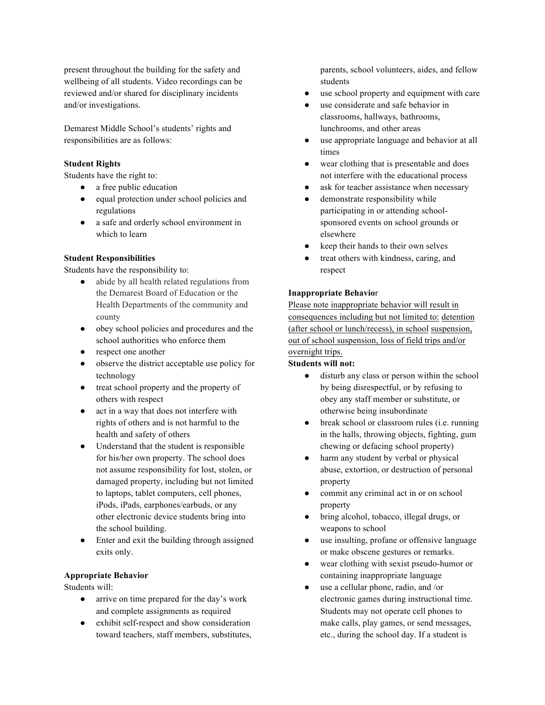present throughout the building for the safety and wellbeing of all students. Video recordings can be reviewed and/or shared for disciplinary incidents and/or investigations.

Demarest Middle School's students' rights and responsibilities are as follows:

# **Student Rights**

Students have the right to:

- a free public education
- equal protection under school policies and regulations
- a safe and orderly school environment in which to learn

# **Student Responsibilities**

Students have the responsibility to:

- abide by all health related regulations from the Demarest Board of Education or the Health Departments of the community and county
- obey school policies and procedures and the school authorities who enforce them
- respect one another
- observe the district acceptable use policy for technology
- treat school property and the property of others with respect
- act in a way that does not interfere with rights of others and is not harmful to the health and safety of others
- Understand that the student is responsible for his/her own property. The school does not assume responsibility for lost, stolen, or damaged property, including but not limited to laptops, tablet computers, cell phones, iPods, iPads, earphones/earbuds, or any other electronic device students bring into the school building.
- Enter and exit the building through assigned exits only.

# **Appropriate Behavior**

Students will:

- arrive on time prepared for the day's work and complete assignments as required
- exhibit self-respect and show consideration toward teachers, staff members, substitutes,

parents, school volunteers, aides, and fellow students

- use school property and equipment with care
- use considerate and safe behavior in classrooms, hallways, bathrooms, lunchrooms, and other areas
- use appropriate language and behavior at all times
- wear clothing that is presentable and does not interfere with the educational process
- ask for teacher assistance when necessary
- demonstrate responsibility while participating in or attending schoolsponsored events on school grounds or elsewhere
- keep their hands to their own selves
- treat others with kindness, caring, and respect

# **Inappropriate Behavio**r

Please note inappropriate behavior will result in consequences including but not limited to: detention (after school or lunch/recess), in school suspension, out of school suspension, loss of field trips and/or overnight trips.

# **Students will not:**

- disturb any class or person within the school by being disrespectful, or by refusing to obey any staff member or substitute, or otherwise being insubordinate
- break school or classroom rules (i.e. running in the halls, throwing objects, fighting, gum chewing or defacing school property)
- harm any student by verbal or physical abuse, extortion, or destruction of personal property
- commit any criminal act in or on school property
- bring alcohol, tobacco, illegal drugs, or weapons to school
- use insulting, profane or offensive language or make obscene gestures or remarks.
- wear clothing with sexist pseudo-humor or containing inappropriate language
- use a cellular phone, radio, and /or electronic games during instructional time. Students may not operate cell phones to make calls, play games, or send messages, etc., during the school day. If a student is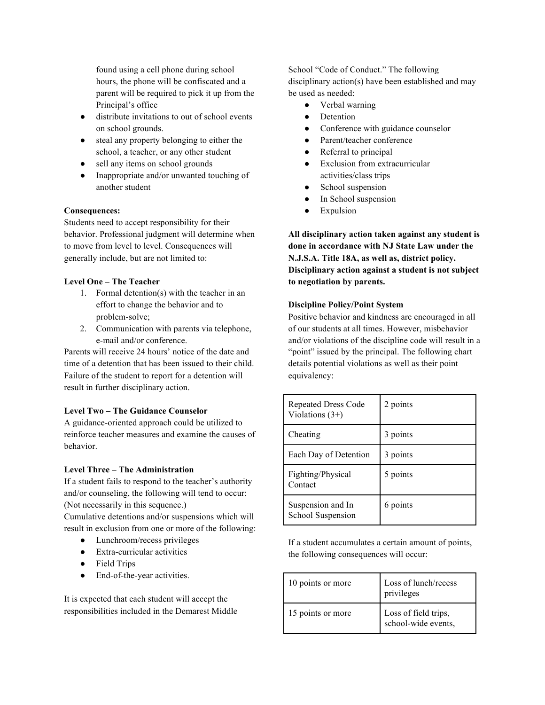found using a cell phone during school hours, the phone will be confiscated and a parent will be required to pick it up from the Principal's office

- distribute invitations to out of school events on school grounds.
- steal any property belonging to either the school, a teacher, or any other student
- sell any items on school grounds
- Inappropriate and/or unwanted touching of another student

# **Consequences:**

Students need to accept responsibility for their behavior. Professional judgment will determine when to move from level to level. Consequences will generally include, but are not limited to:

# **Level One – The Teacher**

- 1. Formal detention(s) with the teacher in an effort to change the behavior and to problem-solve;
- 2. Communication with parents via telephone, e-mail and/or conference.

Parents will receive 24 hours' notice of the date and time of a detention that has been issued to their child. Failure of the student to report for a detention will result in further disciplinary action.

# **Level Two – The Guidance Counselor**

A guidance-oriented approach could be utilized to reinforce teacher measures and examine the causes of behavior.

# **Level Three – The Administration**

If a student fails to respond to the teacher's authority and/or counseling, the following will tend to occur: (Not necessarily in this sequence.)

Cumulative detentions and/or suspensions which will result in exclusion from one or more of the following:

- Lunchroom/recess privileges
- Extra-curricular activities
- Field Trips
- End-of-the-year activities.

It is expected that each student will accept the responsibilities included in the Demarest Middle School "Code of Conduct." The following disciplinary action(s) have been established and may be used as needed:

- Verbal warning
- Detention
- Conference with guidance counselor
- Parent/teacher conference
- Referral to principal
- Exclusion from extracurricular activities/class trips
- School suspension
- In School suspension
- Expulsion

**All disciplinary action taken against any student is done in accordance with NJ State Law under the N.J.S.A. Title 18A, as well as, district policy. Disciplinary action against a student is not subject to negotiation by parents.**

# **Discipline Policy/Point System**

Positive behavior and kindness are encouraged in all of our students at all times. However, misbehavior and/or violations of the discipline code will result in a "point" issued by the principal. The following chart details potential violations as well as their point equivalency:

| <b>Repeated Dress Code</b><br>Violations $(3+)$ | 2 points |
|-------------------------------------------------|----------|
| Cheating                                        | 3 points |
| Each Day of Detention                           | 3 points |
| Fighting/Physical<br>Contact                    | 5 points |
| Suspension and In<br>School Suspension          | 6 points |

If a student accumulates a certain amount of points, the following consequences will occur:

| 10 points or more | Loss of lunch/recess<br>privileges          |
|-------------------|---------------------------------------------|
| 15 points or more | Loss of field trips,<br>school-wide events, |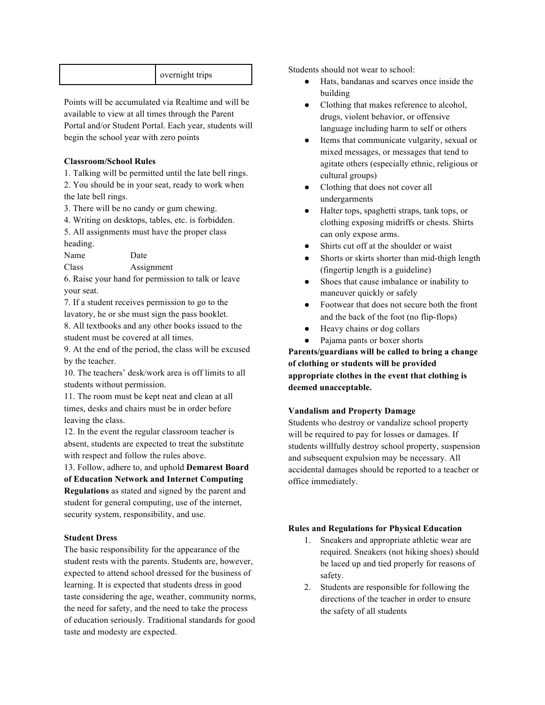Points will be accumulated via Realtime and will be available to view at all times through the Parent Portal and/or Student Portal. Each year, students will begin the school year with zero points

# **Classroom/School Rules**

1. Talking will be permitted until the late bell rings. 2. You should be in your seat, ready to work when

the late bell rings. 3. There will be no candy or gum chewing.

4. Writing on desktops, tables, etc. is forbidden.

5. All assignments must have the proper class heading.

Name Date Class Assignment

6. Raise your hand for permission to talk or leave your seat.

7. If a student receives permission to go to the lavatory, he or she must sign the pass booklet.

8. All textbooks and any other books issued to the student must be covered at all times.

9. At the end of the period, the class will be excused by the teacher.

10. The teachers' desk/work area is off limits to all students without permission.

11. The room must be kept neat and clean at all times, desks and chairs must be in order before leaving the class.

12. In the event the regular classroom teacher is absent, students are expected to treat the substitute with respect and follow the rules above.

13. Follow, adhere to, and uphold **Demarest Board of Education Network and Internet Computing Regulations** as stated and signed by the parent and student for general computing, use of the internet, security system, responsibility, and use.

# **Student Dress**

The basic responsibility for the appearance of the student rests with the parents. Students are, however, expected to attend school dressed for the business of learning. It is expected that students dress in good taste considering the age, weather, community norms, the need for safety, and the need to take the process of education seriously. Traditional standards for good taste and modesty are expected.

Students should not wear to school:

- Hats, bandanas and scarves once inside the building
- Clothing that makes reference to alcohol, drugs, violent behavior, or offensive language including harm to self or others
- Items that communicate vulgarity, sexual or mixed messages, or messages that tend to agitate others (especially ethnic, religious or cultural groups)
- Clothing that does not cover all undergarments
- Halter tops, spaghetti straps, tank tops, or clothing exposing midriffs or chests. Shirts can only expose arms.
- Shirts cut off at the shoulder or waist
- Shorts or skirts shorter than mid-thigh length (fingertip length is a guideline)
- Shoes that cause imbalance or inability to maneuver quickly or safely
- Footwear that does not secure both the front and the back of the foot (no flip-flops)
- Heavy chains or dog collars
- Pajama pants or boxer shorts

**Parents/guardians will be called to bring a change of clothing or students will be provided appropriate clothes in the event that clothing is deemed unacceptable.**

# **Vandalism and Property Damage**

Students who destroy or vandalize school property will be required to pay for losses or damages. If students willfully destroy school property, suspension and subsequent expulsion may be necessary. All accidental damages should be reported to a teacher or office immediately.

# **Rules and Regulations for Physical Education**

- 1. Sneakers and appropriate athletic wear are required. Sneakers (not hiking shoes) should be laced up and tied properly for reasons of safety.
- 2. Students are responsible for following the directions of the teacher in order to ensure the safety of all students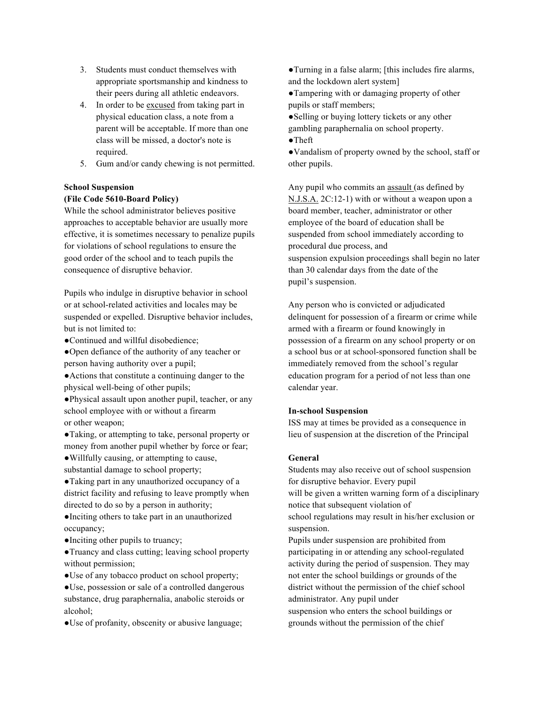- 3. Students must conduct themselves with appropriate sportsmanship and kindness to their peers during all athletic endeavors.
- 4. In order to be excused from taking part in physical education class, a note from a parent will be acceptable. If more than one class will be missed, a doctor's note is required.
- 5. Gum and/or candy chewing is not permitted.

# **School Suspension**

### **(File Code 5610-Board Policy)**

While the school administrator believes positive approaches to acceptable behavior are usually more effective, it is sometimes necessary to penalize pupils for violations of school regulations to ensure the good order of the school and to teach pupils the consequence of disruptive behavior.

Pupils who indulge in disruptive behavior in school or at school-related activities and locales may be suspended or expelled. Disruptive behavior includes, but is not limited to:

**●**Continued and willful disobedience;

**●**Open defiance of the authority of any teacher or person having authority over a pupil;

**●**Actions that constitute a continuing danger to the physical well-being of other pupils;

**●**Physical assault upon another pupil, teacher, or any school employee with or without a firearm or other weapon;

**●**Taking, or attempting to take, personal property or money from another pupil whether by force or fear;

**●**Willfully causing, or attempting to cause, substantial damage to school property;

**●**Taking part in any unauthorized occupancy of a district facility and refusing to leave promptly when directed to do so by a person in authority;

**●**Inciting others to take part in an unauthorized occupancy;

**●**Inciting other pupils to truancy;

**●**Truancy and class cutting; leaving school property without permission;

●Use of any tobacco product on school property; ●Use, possession or sale of a controlled dangerous substance, drug paraphernalia, anabolic steroids or alcohol;

●Use of profanity, obscenity or abusive language;

●Turning in a false alarm; [this includes fire alarms, and the lockdown alert system]

●Tampering with or damaging property of other pupils or staff members;

●Selling or buying lottery tickets or any other gambling paraphernalia on school property.

●Theft

●Vandalism of property owned by the school, staff or other pupils.

Any pupil who commits an assault (as defined by N.J.S.A. 2C:12-1) with or without a weapon upon a board member, teacher, administrator or other employee of the board of education shall be suspended from school immediately according to procedural due process, and suspension expulsion proceedings shall begin no later than 30 calendar days from the date of the pupil's suspension.

Any person who is convicted or adjudicated delinquent for possession of a firearm or crime while armed with a firearm or found knowingly in possession of a firearm on any school property or on a school bus or at school-sponsored function shall be immediately removed from the school's regular education program for a period of not less than one calendar year.

### **In-school Suspension**

ISS may at times be provided as a consequence in lieu of suspension at the discretion of the Principal

# **General**

Students may also receive out of school suspension for disruptive behavior. Every pupil will be given a written warning form of a disciplinary notice that subsequent violation of school regulations may result in his/her exclusion or suspension.

Pupils under suspension are prohibited from participating in or attending any school-regulated activity during the period of suspension. They may not enter the school buildings or grounds of the district without the permission of the chief school administrator. Any pupil under suspension who enters the school buildings or grounds without the permission of the chief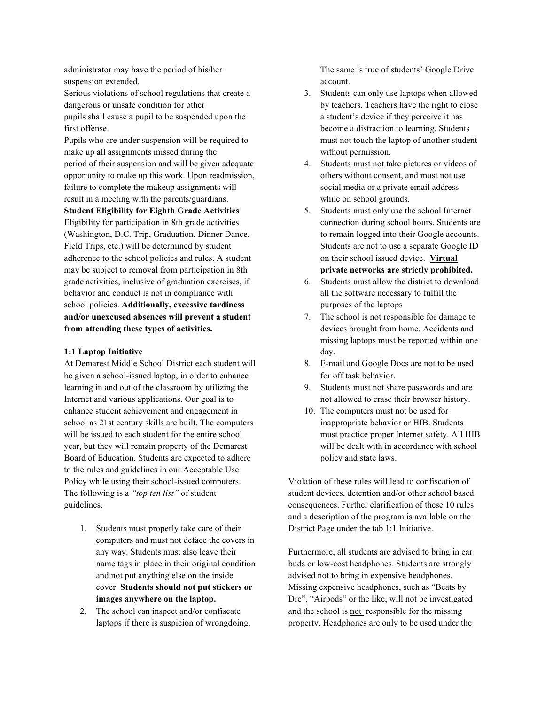administrator may have the period of his/her suspension extended.

Serious violations of school regulations that create a dangerous or unsafe condition for other pupils shall cause a pupil to be suspended upon the first offense.

Pupils who are under suspension will be required to make up all assignments missed during the period of their suspension and will be given adequate opportunity to make up this work. Upon readmission, failure to complete the makeup assignments will result in a meeting with the parents/guardians.

**Student Eligibility for Eighth Grade Activities** 

Eligibility for participation in 8th grade activities (Washington, D.C. Trip, Graduation, Dinner Dance, Field Trips, etc.) will be determined by student adherence to the school policies and rules. A student may be subject to removal from participation in 8th grade activities, inclusive of graduation exercises, if behavior and conduct is not in compliance with school policies. **Additionally, excessive tardiness and/or unexcused absences will prevent a student from attending these types of activities.**

## **1:1 Laptop Initiative**

At Demarest Middle School District each student will be given a school-issued laptop, in order to enhance learning in and out of the classroom by utilizing the Internet and various applications. Our goal is to enhance student achievement and engagement in school as 21st century skills are built. The computers will be issued to each student for the entire school year, but they will remain property of the Demarest Board of Education. Students are expected to adhere to the rules and guidelines in our Acceptable Use Policy while using their school-issued computers. The following is a *"top ten list"* of student guidelines.

- 1. Students must properly take care of their computers and must not deface the covers in any way. Students must also leave their name tags in place in their original condition and not put anything else on the inside cover. **Students should not put stickers or images anywhere on the laptop.**
- 2. The school can inspect and/or confiscate laptops if there is suspicion of wrongdoing.

The same is true of students' Google Drive account.

- 3. Students can only use laptops when allowed by teachers. Teachers have the right to close a student's device if they perceive it has become a distraction to learning. Students must not touch the laptop of another student without permission.
- 4. Students must not take pictures or videos of others without consent, and must not use social media or a private email address while on school grounds.
- 5. Students must only use the school Internet connection during school hours. Students are to remain logged into their Google accounts. Students are not to use a separate Google ID on their school issued device. **Virtual private networks are strictly prohibited.**
- 6. Students must allow the district to download all the software necessary to fulfill the purposes of the laptops
- 7. The school is not responsible for damage to devices brought from home. Accidents and missing laptops must be reported within one day.
- 8. E-mail and Google Docs are not to be used for off task behavior.
- 9. Students must not share passwords and are not allowed to erase their browser history.
- 10. The computers must not be used for inappropriate behavior or HIB. Students must practice proper Internet safety. All HIB will be dealt with in accordance with school policy and state laws.

Violation of these rules will lead to confiscation of student devices, detention and/or other school based consequences. Further clarification of these 10 rules and a description of the program is available on the District Page under the tab 1:1 Initiative.

Furthermore, all students are advised to bring in ear buds or low-cost headphones. Students are strongly advised not to bring in expensive headphones. Missing expensive headphones, such as "Beats by Dre", "Airpods" or the like, will not be investigated and the school is not responsible for the missing property. Headphones are only to be used under the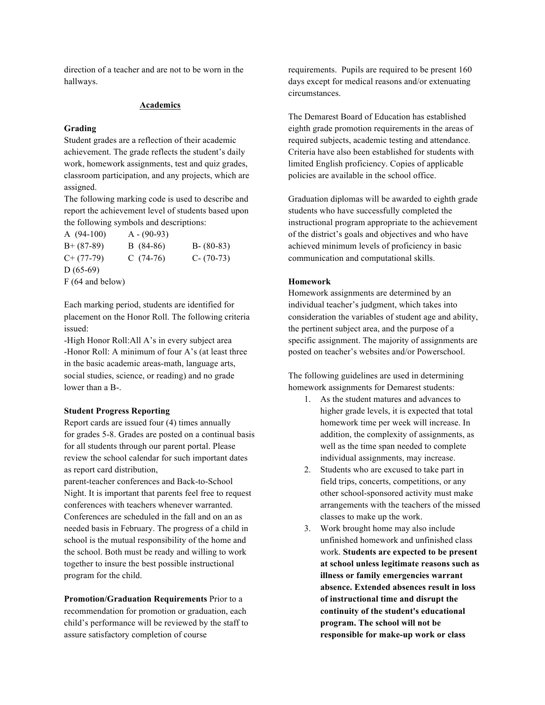direction of a teacher and are not to be worn in the hallways.

### **Academics**

### **Grading**

Student grades are a reflection of their academic achievement. The grade reflects the student's daily work, homework assignments, test and quiz grades, classroom participation, and any projects, which are assigned.

The following marking code is used to describe and report the achievement level of students based upon the following symbols and descriptions:

| A $(94-100)$              | $A - (90-93)$ |               |
|---------------------------|---------------|---------------|
| $B+ (87-89)$              | $B(84-86)$    | $B - (80-83)$ |
| $C+ (77-79)$              | $C(74-76)$    | $C - (70-73)$ |
| $D(65-69)$                |               |               |
| $F(64 \text{ and below})$ |               |               |

Each marking period, students are identified for placement on the Honor Roll. The following criteria issued:

-High Honor Roll:All A's in every subject area -Honor Roll: A minimum of four A's (at least three in the basic academic areas-math, language arts, social studies, science, or reading) and no grade lower than a B-.

## **Student Progress Reporting**

Report cards are issued four (4) times annually for grades 5-8. Grades are posted on a continual basis for all students through our parent portal. Please review the school calendar for such important dates as report card distribution,

parent-teacher conferences and Back-to-School Night. It is important that parents feel free to request conferences with teachers whenever warranted. Conferences are scheduled in the fall and on an as needed basis in February. The progress of a child in school is the mutual responsibility of the home and the school. Both must be ready and willing to work together to insure the best possible instructional program for the child.

**Promotion/Graduation Requirements** Prior to a recommendation for promotion or graduation, each child's performance will be reviewed by the staff to assure satisfactory completion of course

requirements. Pupils are required to be present 160 days except for medical reasons and/or extenuating circumstances.

The Demarest Board of Education has established eighth grade promotion requirements in the areas of required subjects, academic testing and attendance. Criteria have also been established for students with limited English proficiency. Copies of applicable policies are available in the school office.

Graduation diplomas will be awarded to eighth grade students who have successfully completed the instructional program appropriate to the achievement of the district's goals and objectives and who have achieved minimum levels of proficiency in basic communication and computational skills.

# **Homework**

Homework assignments are determined by an individual teacher's judgment, which takes into consideration the variables of student age and ability, the pertinent subject area, and the purpose of a specific assignment. The majority of assignments are posted on teacher's websites and/or Powerschool.

The following guidelines are used in determining homework assignments for Demarest students:

- 1. As the student matures and advances to higher grade levels, it is expected that total homework time per week will increase. In addition, the complexity of assignments, as well as the time span needed to complete individual assignments, may increase.
- 2. Students who are excused to take part in field trips, concerts, competitions, or any other school-sponsored activity must make arrangements with the teachers of the missed classes to make up the work.
- 3. Work brought home may also include unfinished homework and unfinished class work. **Students are expected to be present at school unless legitimate reasons such as illness or family emergencies warrant absence. Extended absences result in loss of instructional time and disrupt the continuity of the student's educational program. The school will not be responsible for make-up work or class**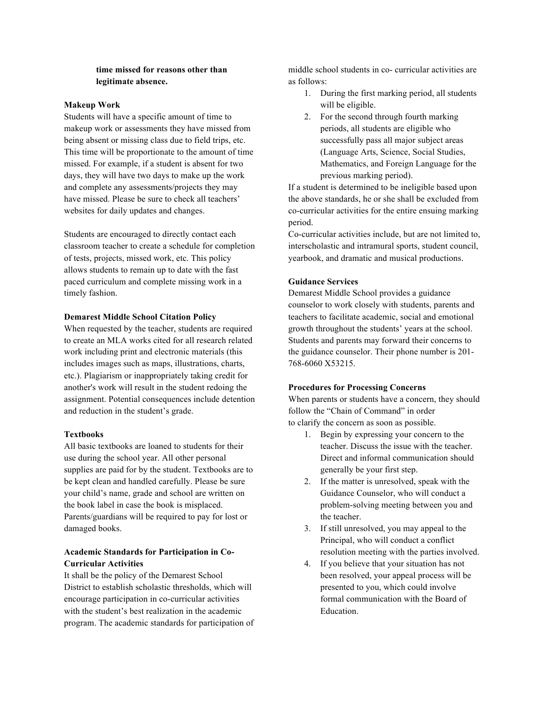# **time missed for reasons other than legitimate absence.**

### **Makeup Work**

Students will have a specific amount of time to makeup work or assessments they have missed from being absent or missing class due to field trips, etc. This time will be proportionate to the amount of time missed. For example, if a student is absent for two days, they will have two days to make up the work and complete any assessments/projects they may have missed. Please be sure to check all teachers' websites for daily updates and changes.

Students are encouraged to directly contact each classroom teacher to create a schedule for completion of tests, projects, missed work, etc. This policy allows students to remain up to date with the fast paced curriculum and complete missing work in a timely fashion.

### **Demarest Middle School Citation Policy**

When requested by the teacher, students are required to create an MLA works cited for all research related work including print and electronic materials (this includes images such as maps, illustrations, charts, etc.). Plagiarism or inappropriately taking credit for another's work will result in the student redoing the assignment. Potential consequences include detention and reduction in the student's grade.

#### **Textbooks**

All basic textbooks are loaned to students for their use during the school year. All other personal supplies are paid for by the student. Textbooks are to be kept clean and handled carefully. Please be sure your child's name, grade and school are written on the book label in case the book is misplaced. Parents/guardians will be required to pay for lost or damaged books.

# **Academic Standards for Participation in Co-Curricular Activities**

It shall be the policy of the Demarest School District to establish scholastic thresholds, which will encourage participation in co-curricular activities with the student's best realization in the academic program. The academic standards for participation of middle school students in co- curricular activities are as follows:

- 1. During the first marking period, all students will be eligible.
- 2. For the second through fourth marking periods, all students are eligible who successfully pass all major subject areas (Language Arts, Science, Social Studies, Mathematics, and Foreign Language for the previous marking period).

If a student is determined to be ineligible based upon the above standards, he or she shall be excluded from co-curricular activities for the entire ensuing marking period.

Co-curricular activities include, but are not limited to, interscholastic and intramural sports, student council, yearbook, and dramatic and musical productions.

### **Guidance Services**

Demarest Middle School provides a guidance counselor to work closely with students, parents and teachers to facilitate academic, social and emotional growth throughout the students' years at the school. Students and parents may forward their concerns to the guidance counselor. Their phone number is 201- 768-6060 X53215.

#### **Procedures for Processing Concerns**

When parents or students have a concern, they should follow the "Chain of Command" in order to clarify the concern as soon as possible.

- 1. Begin by expressing your concern to the teacher. Discuss the issue with the teacher. Direct and informal communication should generally be your first step.
- 2. If the matter is unresolved, speak with the Guidance Counselor, who will conduct a problem-solving meeting between you and the teacher.
- 3. If still unresolved, you may appeal to the Principal, who will conduct a conflict resolution meeting with the parties involved.
- 4. If you believe that your situation has not been resolved, your appeal process will be presented to you, which could involve formal communication with the Board of Education.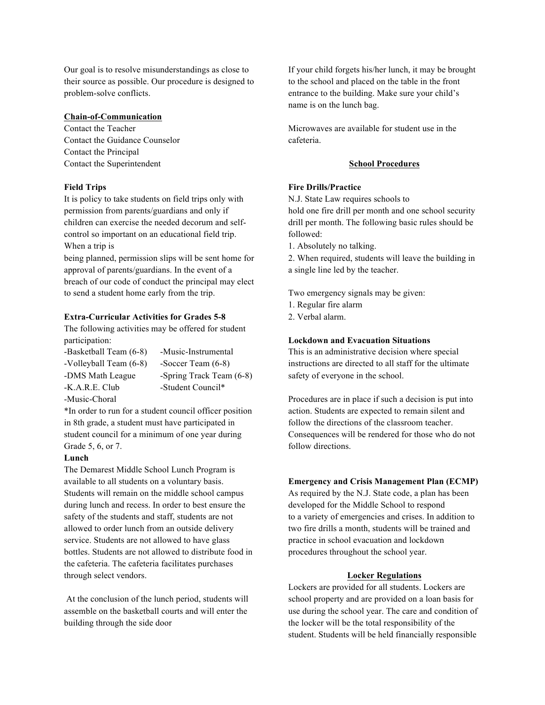Our goal is to resolve misunderstandings as close to their source as possible. Our procedure is designed to problem-solve conflicts.

### **Chain-of-Communication**

Contact the Teacher Contact the Guidance Counselor Contact the Principal Contact the Superintendent

### **Field Trips**

It is policy to take students on field trips only with permission from parents/guardians and only if children can exercise the needed decorum and selfcontrol so important on an educational field trip. When a trip is

being planned, permission slips will be sent home for approval of parents/guardians. In the event of a breach of our code of conduct the principal may elect to send a student home early from the trip.

### **Extra-Curricular Activities for Grades 5-8**

The following activities may be offered for student participation:

-Basketball Team (6-8) -Music-Instrumental -Volleyball Team (6-8) -Soccer Team (6-8) -DMS Math League -Spring Track Team  $(6-8)$ -K.A.R.E. Club -Student Council\* -Music-Choral

\*In order to run for a student council officer position in 8th grade, a student must have participated in student council for a minimum of one year during Grade 5, 6, or 7.

### **Lunch**

The Demarest Middle School Lunch Program is available to all students on a voluntary basis. Students will remain on the middle school campus during lunch and recess. In order to best ensure the safety of the students and staff, students are not allowed to order lunch from an outside delivery service. Students are not allowed to have glass bottles. Students are not allowed to distribute food in the cafeteria. The cafeteria facilitates purchases through select vendors.

At the conclusion of the lunch period, students will assemble on the basketball courts and will enter the building through the side door

If your child forgets his/her lunch, it may be brought to the school and placed on the table in the front entrance to the building. Make sure your child's name is on the lunch bag.

Microwaves are available for student use in the cafeteria.

### **School Procedures**

# **Fire Drills/Practice**

N.J. State Law requires schools to

hold one fire drill per month and one school security drill per month. The following basic rules should be followed:

1. Absolutely no talking.

2. When required, students will leave the building in a single line led by the teacher.

Two emergency signals may be given:

- 1. Regular fire alarm
- 2. Verbal alarm.

#### **Lockdown and Evacuation Situations**

This is an administrative decision where special instructions are directed to all staff for the ultimate safety of everyone in the school.

Procedures are in place if such a decision is put into action. Students are expected to remain silent and follow the directions of the classroom teacher. Consequences will be rendered for those who do not follow directions.

#### **Emergency and Crisis Management Plan (ECMP)**

As required by the N.J. State code, a plan has been developed for the Middle School to respond to a variety of emergencies and crises. In addition to two fire drills a month, students will be trained and practice in school evacuation and lockdown procedures throughout the school year.

### **Locker Regulations**

Lockers are provided for all students. Lockers are school property and are provided on a loan basis for use during the school year. The care and condition of the locker will be the total responsibility of the student. Students will be held financially responsible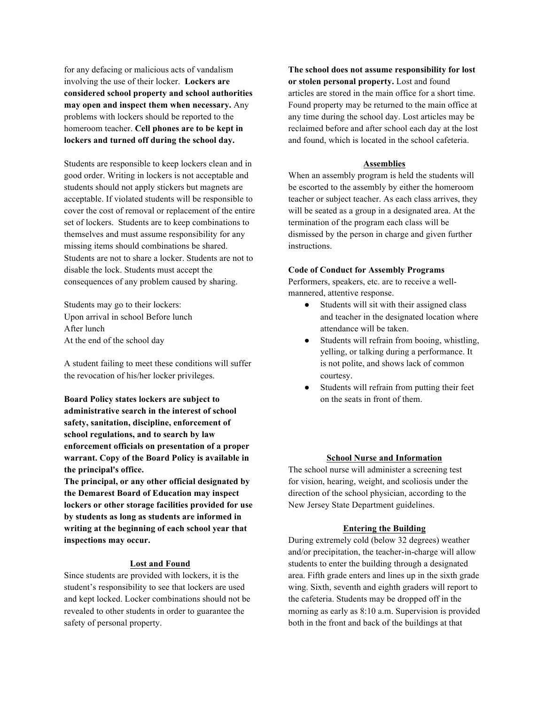for any defacing or malicious acts of vandalism involving the use of their locker. **Lockers are considered school property and school authorities may open and inspect them when necessary.** Any problems with lockers should be reported to the homeroom teacher. **Cell phones are to be kept in lockers and turned off during the school day.**

Students are responsible to keep lockers clean and in good order. Writing in lockers is not acceptable and students should not apply stickers but magnets are acceptable. If violated students will be responsible to cover the cost of removal or replacement of the entire set of lockers.Students are to keep combinations to themselves and must assume responsibility for any missing items should combinations be shared. Students are not to share a locker. Students are not to disable the lock. Students must accept the consequences of any problem caused by sharing.

Students may go to their lockers: Upon arrival in school Before lunch After lunch At the end of the school day

A student failing to meet these conditions will suffer the revocation of his/her locker privileges.

**Board Policy states lockers are subject to administrative search in the interest of school safety, sanitation, discipline, enforcement of school regulations, and to search by law enforcement officials on presentation of a proper warrant. Copy of the Board Policy is available in the principal's office.**

**The principal, or any other official designated by the Demarest Board of Education may inspect lockers or other storage facilities provided for use by students as long as students are informed in writing at the beginning of each school year that inspections may occur.**

### **Lost and Found**

Since students are provided with lockers, it is the student's responsibility to see that lockers are used and kept locked. Locker combinations should not be revealed to other students in order to guarantee the safety of personal property.

**The school does not assume responsibility for lost or stolen personal property.** Lost and found articles are stored in the main office for a short time. Found property may be returned to the main office at any time during the school day. Lost articles may be reclaimed before and after school each day at the lost and found, which is located in the school cafeteria.

#### **Assemblies**

When an assembly program is held the students will be escorted to the assembly by either the homeroom teacher or subject teacher. As each class arrives, they will be seated as a group in a designated area. At the termination of the program each class will be dismissed by the person in charge and given further instructions.

#### **Code of Conduct for Assembly Programs**

Performers, speakers, etc. are to receive a wellmannered, attentive response.

- Students will sit with their assigned class and teacher in the designated location where attendance will be taken.
- Students will refrain from booing, whistling, yelling, or talking during a performance. It is not polite, and shows lack of common courtesy.
- Students will refrain from putting their feet on the seats in front of them.

#### **School Nurse and Information**

The school nurse will administer a screening test for vision, hearing, weight, and scoliosis under the direction of the school physician, according to the New Jersey State Department guidelines.

#### **Entering the Building**

During extremely cold (below 32 degrees) weather and/or precipitation, the teacher-in-charge will allow students to enter the building through a designated area. Fifth grade enters and lines up in the sixth grade wing. Sixth, seventh and eighth graders will report to the cafeteria. Students may be dropped off in the morning as early as 8:10 a.m. Supervision is provided both in the front and back of the buildings at that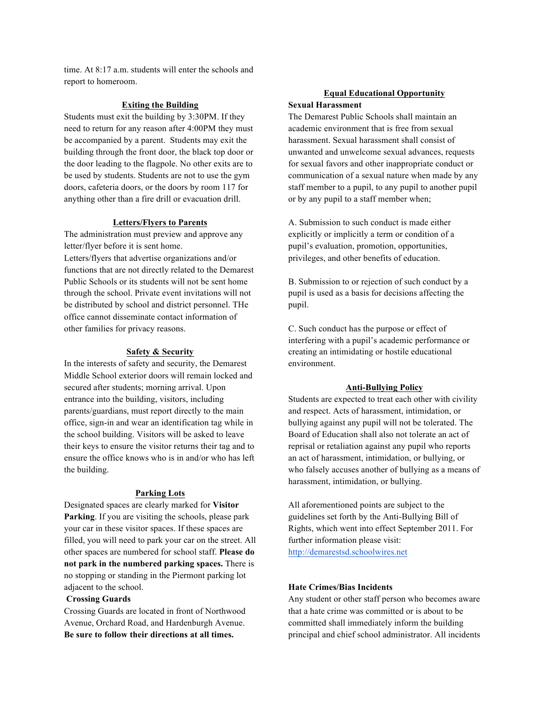time. At 8:17 a.m. students will enter the schools and report to homeroom.

#### **Exiting the Building**

Students must exit the building by 3:30PM. If they need to return for any reason after 4:00PM they must be accompanied by a parent. Students may exit the building through the front door, the black top door or the door leading to the flagpole. No other exits are to be used by students. Students are not to use the gym doors, cafeteria doors, or the doors by room 117 for anything other than a fire drill or evacuation drill.

#### **Letters/Flyers to Parents**

The administration must preview and approve any letter/flyer before it is sent home. Letters/flyers that advertise organizations and/or functions that are not directly related to the Demarest Public Schools or its students will not be sent home through the school. Private event invitations will not be distributed by school and district personnel. THe office cannot disseminate contact information of other families for privacy reasons.

#### **Safety & Security**

In the interests of safety and security, the Demarest Middle School exterior doors will remain locked and secured after students; morning arrival. Upon entrance into the building, visitors, including parents/guardians, must report directly to the main office, sign-in and wear an identification tag while in the school building. Visitors will be asked to leave their keys to ensure the visitor returns their tag and to ensure the office knows who is in and/or who has left the building.

#### **Parking Lots**

Designated spaces are clearly marked for **Visitor Parking**. If you are visiting the schools, please park your car in these visitor spaces. If these spaces are filled, you will need to park your car on the street. All other spaces are numbered for school staff. **Please do not park in the numbered parking spaces.** There is no stopping or standing in the Piermont parking lot adjacent to the school.

### **Crossing Guards**

Crossing Guards are located in front of Northwood Avenue, Orchard Road, and Hardenburgh Avenue. **Be sure to follow their directions at all times.**

## **Equal Educational Opportunity Sexual Harassment**

The Demarest Public Schools shall maintain an academic environment that is free from sexual harassment. Sexual harassment shall consist of unwanted and unwelcome sexual advances, requests for sexual favors and other inappropriate conduct or communication of a sexual nature when made by any staff member to a pupil, to any pupil to another pupil or by any pupil to a staff member when;

A. Submission to such conduct is made either explicitly or implicitly a term or condition of a pupil's evaluation, promotion, opportunities, privileges, and other benefits of education.

B. Submission to or rejection of such conduct by a pupil is used as a basis for decisions affecting the pupil.

C. Such conduct has the purpose or effect of interfering with a pupil's academic performance or creating an intimidating or hostile educational environment.

#### **Anti-Bullying Policy**

Students are expected to treat each other with civility and respect. Acts of harassment, intimidation, or bullying against any pupil will not be tolerated. The Board of Education shall also not tolerate an act of reprisal or retaliation against any pupil who reports an act of harassment, intimidation, or bullying, or who falsely accuses another of bullying as a means of harassment, intimidation, or bullying.

All aforementioned points are subject to the guidelines set forth by the Anti-Bullying Bill of Rights, which went into effect September 2011. For further information please visit: http://demarestsd.schoolwires.net

**Hate Crimes/Bias Incidents**

Any student or other staff person who becomes aware that a hate crime was committed or is about to be committed shall immediately inform the building principal and chief school administrator. All incidents